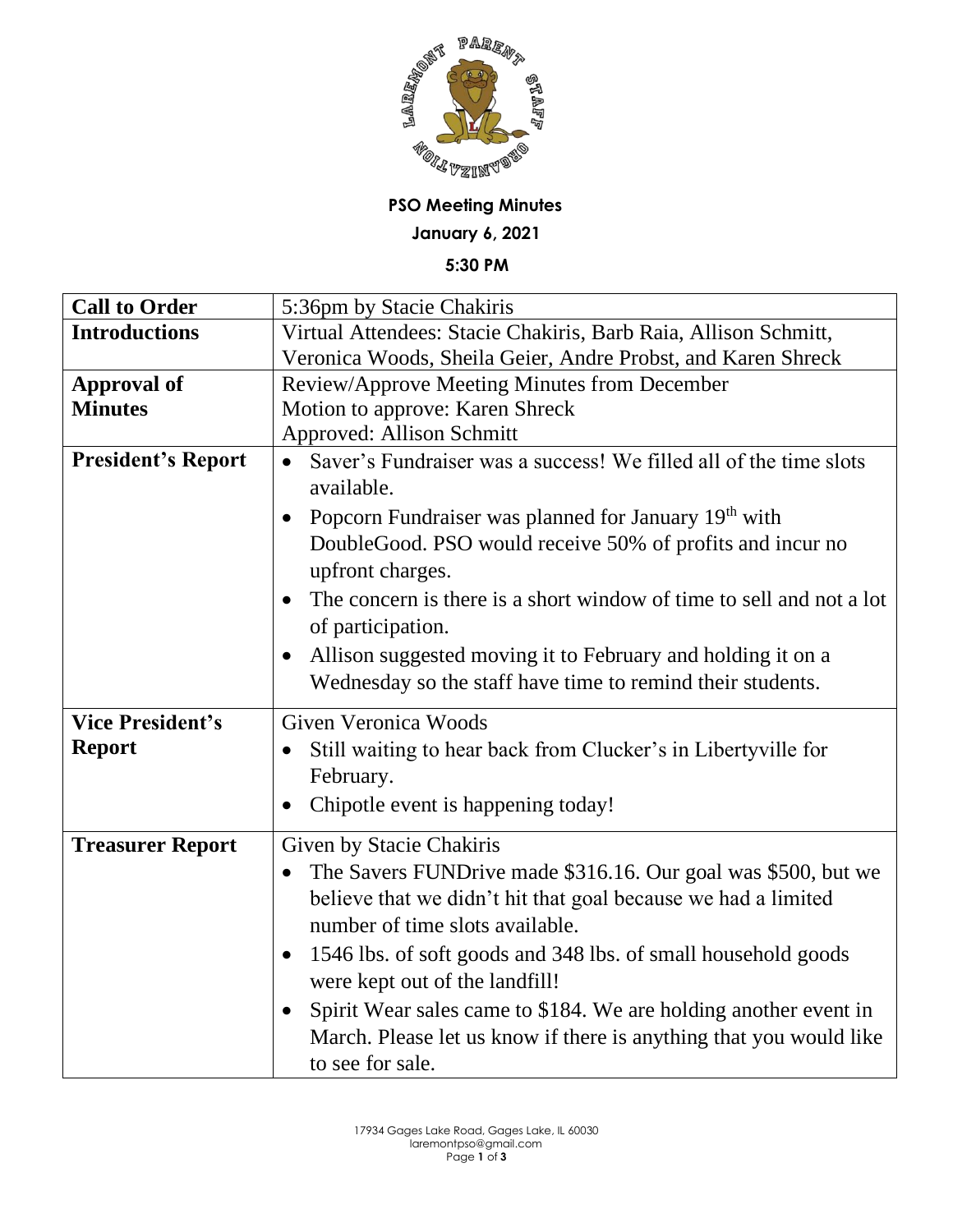

## **PSO Meeting Minutes**

**January 6, 2021**

**5:30 PM**

| <b>Call to Order</b>      | 5:36pm by Stacie Chakiris                                                                        |
|---------------------------|--------------------------------------------------------------------------------------------------|
| <b>Introductions</b>      | Virtual Attendees: Stacie Chakiris, Barb Raia, Allison Schmitt,                                  |
|                           | Veronica Woods, Sheila Geier, Andre Probst, and Karen Shreck                                     |
| <b>Approval of</b>        | Review/Approve Meeting Minutes from December                                                     |
| <b>Minutes</b>            | Motion to approve: Karen Shreck                                                                  |
|                           | Approved: Allison Schmitt                                                                        |
| <b>President's Report</b> | Saver's Fundraiser was a success! We filled all of the time slots<br>available.                  |
|                           | Popcorn Fundraiser was planned for January 19 <sup>th</sup> with<br>$\bullet$                    |
|                           | DoubleGood. PSO would receive 50% of profits and incur no<br>upfront charges.                    |
|                           | The concern is there is a short window of time to sell and not a lot<br>of participation.        |
|                           | Allison suggested moving it to February and holding it on a<br>$\bullet$                         |
|                           | Wednesday so the staff have time to remind their students.                                       |
| <b>Vice President's</b>   | Given Veronica Woods                                                                             |
| <b>Report</b>             | Still waiting to hear back from Clucker's in Libertyville for<br>February.                       |
|                           | Chipotle event is happening today!                                                               |
| <b>Treasurer Report</b>   | Given by Stacie Chakiris                                                                         |
|                           | The Savers FUNDrive made \$316.16. Our goal was \$500, but we                                    |
|                           | believe that we didn't hit that goal because we had a limited<br>number of time slots available. |
|                           | 1546 lbs. of soft goods and 348 lbs. of small household goods<br>$\bullet$                       |
|                           | were kept out of the landfill!                                                                   |
|                           | Spirit Wear sales came to \$184. We are holding another event in<br>$\bullet$                    |
|                           | March. Please let us know if there is anything that you would like<br>to see for sale.           |
|                           |                                                                                                  |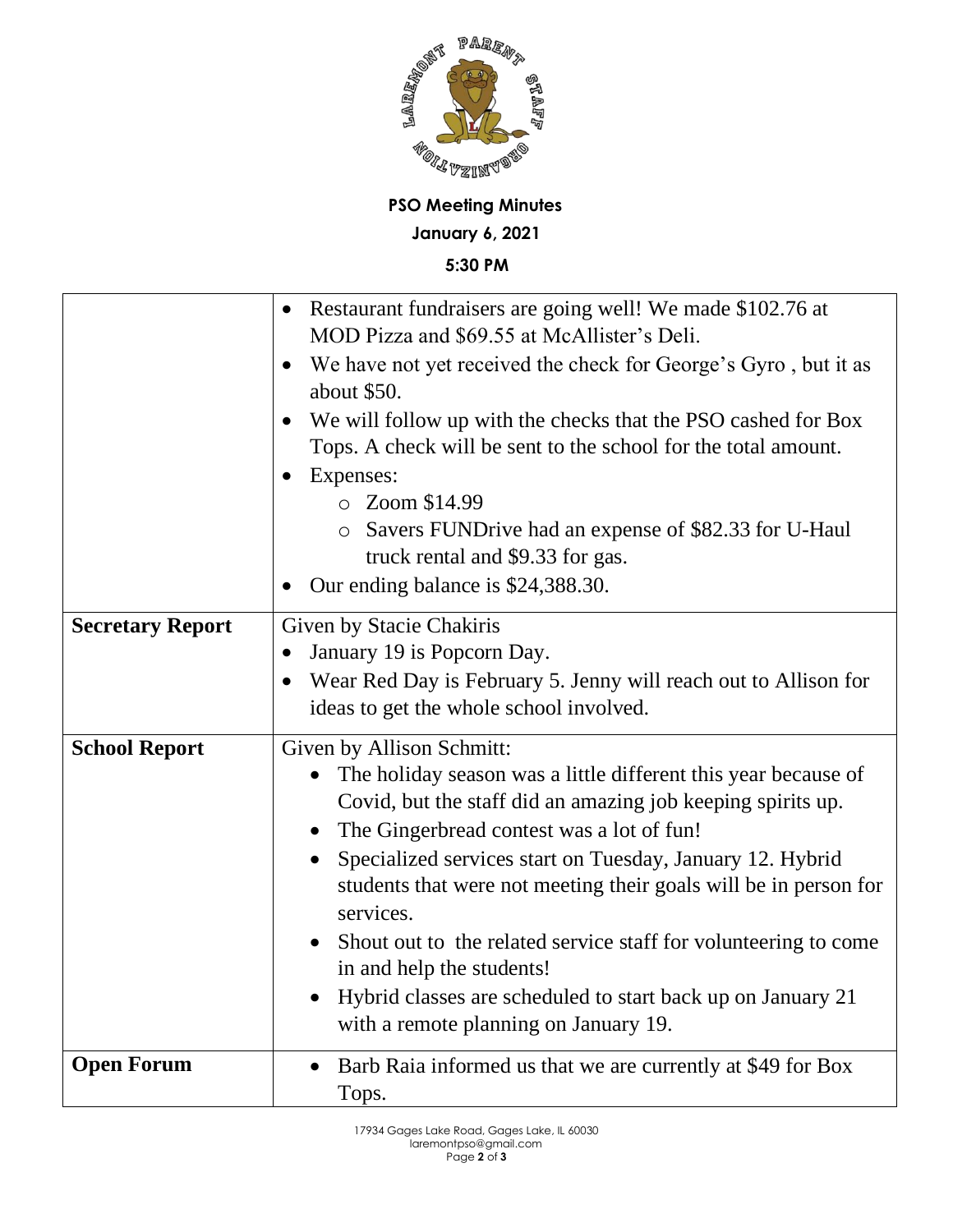

**PSO Meeting Minutes January 6, 2021 5:30 PM**

|                         | Restaurant fundraisers are going well! We made \$102.76 at<br>$\bullet$<br>MOD Pizza and \$69.55 at McAllister's Deli. |
|-------------------------|------------------------------------------------------------------------------------------------------------------------|
|                         | We have not yet received the check for George's Gyro, but it as                                                        |
|                         | about \$50.                                                                                                            |
|                         | We will follow up with the checks that the PSO cashed for Box                                                          |
|                         | Tops. A check will be sent to the school for the total amount.                                                         |
|                         | Expenses:<br>$\bullet$                                                                                                 |
|                         | $\circ$ Zoom \$14.99                                                                                                   |
|                         | Savers FUNDrive had an expense of \$82.33 for U-Haul                                                                   |
|                         | truck rental and \$9.33 for gas.                                                                                       |
|                         | Our ending balance is \$24,388.30.                                                                                     |
| <b>Secretary Report</b> | Given by Stacie Chakiris                                                                                               |
|                         | January 19 is Popcorn Day.<br>$\bullet$                                                                                |
|                         | Wear Red Day is February 5. Jenny will reach out to Allison for<br>$\bullet$                                           |
|                         | ideas to get the whole school involved.                                                                                |
| <b>School Report</b>    | Given by Allison Schmitt:                                                                                              |
|                         | The holiday season was a little different this year because of<br>$\bullet$                                            |
|                         | Covid, but the staff did an amazing job keeping spirits up.                                                            |
|                         | The Gingerbread contest was a lot of fun!<br>$\bullet$                                                                 |
|                         | Specialized services start on Tuesday, January 12. Hybrid<br>$\bullet$                                                 |
|                         | students that were not meeting their goals will be in person for                                                       |
|                         | services.                                                                                                              |
|                         | Shout out to the related service staff for volunteering to come                                                        |
|                         | in and help the students!                                                                                              |
|                         | Hybrid classes are scheduled to start back up on January 21                                                            |
|                         | with a remote planning on January 19.                                                                                  |
| <b>Open Forum</b>       | Barb Raia informed us that we are currently at \$49 for Box<br>$\bullet$                                               |
|                         | Tops.                                                                                                                  |